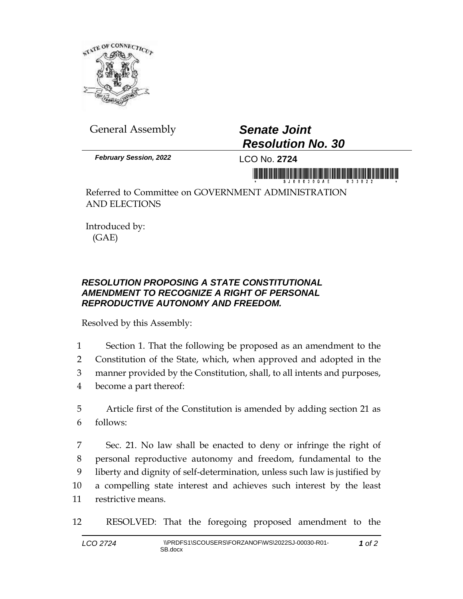

General Assembly *Senate Joint*

## *Resolution No. 30*

*February Session, 2022* LCO No. **2724**

Referred to Committee on GOVERNMENT ADMINISTRATION AND ELECTIONS

Introduced by: (GAE)

## *RESOLUTION PROPOSING A STATE CONSTITUTIONAL AMENDMENT TO RECOGNIZE A RIGHT OF PERSONAL REPRODUCTIVE AUTONOMY AND FREEDOM.*

Resolved by this Assembly:

 Section 1. That the following be proposed as an amendment to the Constitution of the State, which, when approved and adopted in the manner provided by the Constitution, shall, to all intents and purposes, become a part thereof:

5 Article first of the Constitution is amended by adding section 21 as 6 follows:

 Sec. 21. No law shall be enacted to deny or infringe the right of personal reproductive autonomy and freedom, fundamental to the liberty and dignity of self-determination, unless such law is justified by a compelling state interest and achieves such interest by the least restrictive means.

12 RESOLVED: That the foregoing proposed amendment to the